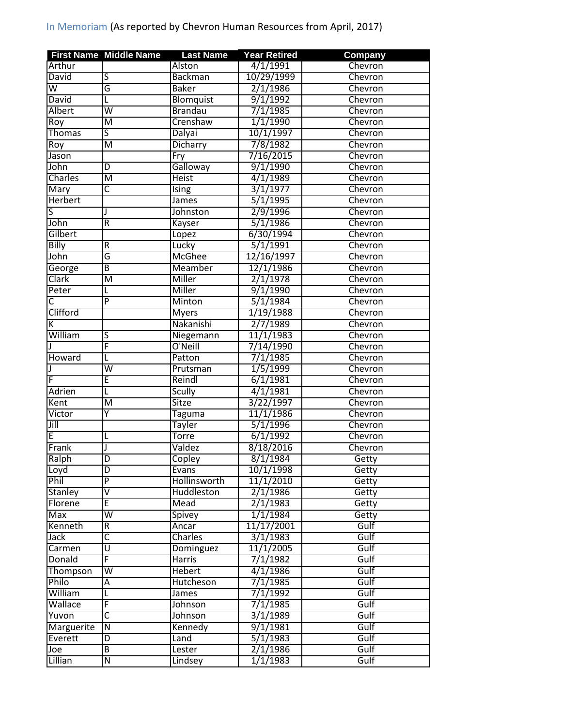|                         | <b>First Name Middle Name</b> | <b>Last Name</b>  | <b>Year Retired</b>   | <b>Company</b> |
|-------------------------|-------------------------------|-------------------|-----------------------|----------------|
| Arthur                  |                               | Alston            | 4/1/1991              | Chevron        |
| <b>David</b>            | $\overline{\mathsf{S}}$       | <b>Backman</b>    | 10/29/1999            | Chevron        |
| $\overline{\mathsf{w}}$ | $\overline{\mathsf{G}}$       | <b>Baker</b>      | 2/1/1986              | Chevron        |
| <b>David</b>            | L                             | Blomquist         | 9/1/1992              | Chevron        |
| <b>Albert</b>           | $\overline{\mathsf{w}}$       | <b>Brandau</b>    | 7/1/1985              | Chevron        |
| Roy                     | M                             | Crenshaw          | 1/1/1990              | Chevron        |
| <b>Thomas</b>           | $\overline{\mathsf{S}}$       | Dalyai            | 10/1/1997             | Chevron        |
| Roy                     | M                             | Dicharry          | 7/8/1982              | Chevron        |
| Jason                   |                               | Fry               | 7/16/2015             | Chevron        |
| John                    | D                             | Galloway          | 9/1/1990              | Chevron        |
| Charles                 | M                             | <b>Heist</b>      | 4/1/1989              | Chevron        |
| Mary                    | C                             | <b>Ising</b>      | 3/1/1977              | Chevron        |
| <b>Herbert</b>          |                               | <b>James</b>      | 5/1/1995              | Chevron        |
| S                       | J                             | Johnston          | 2/9/1996              | Chevron        |
| John                    | $\overline{\mathsf{R}}$       | Kayser            | 5/1/1986              | Chevron        |
| Gilbert                 |                               | Lopez             | 6/30/1994             | Chevron        |
| <b>Billy</b>            | R                             | Lucky             | 5/1/1991              | Chevron        |
| John                    | G                             | <b>McGhee</b>     | 12/16/1997            | Chevron        |
| George                  | $\overline{B}$                | Meamber           | 12/1/1986             | Chevron        |
| Clark                   | M                             | Miller            | 2/1/1978              | Chevron        |
| Peter                   | L                             | Miller            | 9/1/1990              | Chevron        |
| $\overline{\mathsf{c}}$ | $\overline{P}$                | Minton            | 5/1/1984              | Chevron        |
| Clifford                |                               | <b>Myers</b>      | 1/19/1988             | Chevron        |
| К                       |                               | Nakanishi         | 2/7/1989              | Chevron        |
| William                 | S                             | Niegemann         | 11/1/1983             | Chevron        |
|                         | F                             | O'Neill           | 7/14/1990             |                |
|                         |                               |                   |                       | Chevron        |
| Howard                  | L<br>$\overline{\mathsf{w}}$  | Patton            | 7/1/1985              | Chevron        |
|                         |                               | Prutsman          | 1/5/1999              | Chevron        |
| F                       | E                             | Reindl            | 6/1/1981              | Chevron        |
| <b>Adrien</b>           | L                             | <b>Scully</b>     | 4/1/1981              | Chevron        |
| Kent                    | M                             | <b>Sitze</b>      | 3/22/1997             | Chevron        |
| Victor                  | Υ                             | Taguma            | 11/1/1986             | Chevron        |
| Jill                    |                               | <b>Tayler</b>     | 5/1/1996              | Chevron        |
| E                       | L                             | <b>Torre</b>      | 6/1/1992              | Chevron        |
| Frank                   | J                             | Valdez            | 8/18/2016             | Chevron        |
| Ralph                   | D                             | <b>Copley</b>     | $8/\overline{1/1984}$ | Getty          |
| Loyd                    | D                             | Evans             | 10/1/1998             | Getty          |
| Phil                    | $\overline{P}$                | Hollinsworth      | 11/1/2010             | Getty          |
| <b>Stanley</b>          | $\overline{\mathsf{v}}$       | <b>Huddleston</b> | 2/1/1986              | Getty          |
| Florene                 | E                             | Mead              | 2/1/1983              | Getty          |
| Max                     | $\overline{\mathsf{w}}$       | <b>Spivey</b>     | 1/1/1984              | Getty          |
| Kenneth                 | R                             | Ancar             | 11/17/2001            | Gulf           |
| Jack                    | $\overline{\mathsf{C}}$       | Charles           | 3/1/1983              | Gulf           |
| Carmen                  | $\overline{\mathtt{U}}$       | Dominguez         | 11/1/2005             | Gulf           |
| Donald                  | F                             | <b>Harris</b>     | 7/1/1982              | Gulf           |
| Thompson                | W                             | Hebert            | 4/1/1986              | Gulf           |
| Philo                   | Ā                             | Hutcheson         | 7/1/1985              | Gulf           |
| William                 | L                             | James             | 7/1/1992              | Gulf           |
| Wallace                 | F                             | Johnson           | 7/1/1985              | Gulf           |
| Yuvon                   | $\overline{\mathsf{c}}$       | Johnson           | 3/1/1989              | Gulf           |
| Marguerite              | $\overline{\mathsf{N}}$       | Kennedy           | 9/1/1981              | Gulf           |
| Everett                 | D                             | Land              | 5/1/1983              | Gulf           |
| Joe                     | $\overline{B}$                | Lester            | 2/1/1986              | Gulf           |
| Lillian                 | Ñ                             | Lindsey           | 1/1/1983              | Gulf           |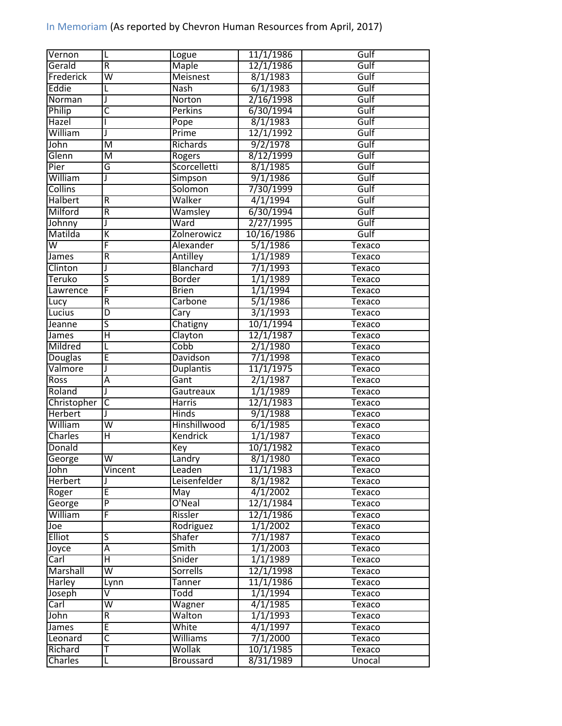| Vernon         | L                       | Logue            | 11/1/1986  | Gulf          |
|----------------|-------------------------|------------------|------------|---------------|
| Gerald         | $\overline{R}$          | <b>Maple</b>     | 12/1/1986  | Gulf          |
| Frederick      | $\overline{\mathsf{w}}$ | <b>Meisnest</b>  | 8/1/1983   | Gulf          |
| Eddie          | L                       | <b>Nash</b>      | 6/1/1983   | Gulf          |
| Norman         | J                       | Norton           | 2/16/1998  | Gulf          |
| Philip         | $\overline{\mathsf{c}}$ | <b>Perkins</b>   | 6/30/1994  | Gulf          |
| Hazel          |                         | Pope             | 8/1/1983   | Gulf          |
| William        | J                       | Prime            | 12/1/1992  | Gulf          |
| John           | $\overline{\mathsf{M}}$ | Richards         | 9/2/1978   | Gulf          |
| Glenn          | M                       | Rogers           | 8/12/1999  | Gulf          |
| Pier           | G                       | Scorcelletti     | 8/1/1985   | Gulf          |
| William        | J                       | Simpson          | 9/1/1986   | Gulf          |
| <b>Collins</b> |                         | Solomon          | 7/30/1999  | Gulf          |
| <b>Halbert</b> | $\overline{R}$          | Walker           | 4/1/1994   | Gulf          |
| Milford        | $\overline{R}$          | Wamsley          | 6/30/1994  | Gulf          |
| Johnny         | J                       | Ward             | 2/27/1995  | Gulf          |
| Matilda        | $\overline{\mathsf{K}}$ | Zolnerowicz      | 10/16/1986 | Gulf          |
| W              | F                       | Alexander        | 5/1/1986   | <b>Texaco</b> |
| James          | $\overline{R}$          | Antilley         | 1/1/1989   | Texaco        |
| Clinton        | J                       | Blanchard        | 7/1/1993   | Texaco        |
| Teruko         | S                       | <b>Border</b>    | 1/1/1989   | <b>Texaco</b> |
| Lawrence       | F                       | <b>Brien</b>     | 1/1/1994   | <b>Texaco</b> |
| Lucy           | $\overline{R}$          | <b>Carbone</b>   | 5/1/1986   | <b>Texaco</b> |
| Lucius         | D                       | Cary             | 3/1/1993   | Texaco        |
| Jeanne         | $\overline{\mathsf{s}}$ | Chatigny         | 10/1/1994  | Texaco        |
| James          | Ή                       | Clayton          | 12/1/1987  | Texaco        |
| Mildred        | L                       | Cobb             | 2/1/1980   | <b>Texaco</b> |
| <b>Douglas</b> | Έ                       | <b>Davidson</b>  | 7/1/1998   | Texaco        |
| Valmore        | J                       | <b>Duplantis</b> | 11/1/1975  | Texaco        |
| Ross           | Ā                       | Gant             | 2/1/1987   | <b>Texaco</b> |
| Roland         | J                       | Gautreaux        | 1/1/1989   | Texaco        |
| Christopher    | $\overline{\mathsf{c}}$ | <b>Harris</b>    | 12/1/1983  | <b>Texaco</b> |
| <b>Herbert</b> | J                       | <b>Hinds</b>     | 9/1/1988   | <b>Texaco</b> |
| William        | $\overline{\mathsf{w}}$ | Hinshillwood     | 6/1/1985   | Texaco        |
| Charles        | Η                       | Kendrick         | 1/1/1987   | Texaco        |
| Donald         |                         | Key              | 10/1/1982  | Texaco        |
| George         | $\overline{\mathsf{W}}$ | Landry           | 8/1/1980   | Texaco        |
| John           | Vincent                 | Leaden           | 11/1/1983  | Texaco        |
| <b>Herbert</b> |                         | Leisenfelder     | 8/1/1982   | Texaco        |
| Roger          | Έ                       | May              | 4/1/2002   | Texaco        |
| George         | $\overline{\mathsf{P}}$ | O'Neal           | 12/1/1984  | Texaco        |
| William        | F                       | Rissler          | 12/1/1986  | Texaco        |
| Joe            |                         | Rodriguez        | 1/1/2002   | Texaco        |
| <b>Elliot</b>  | $\overline{\mathsf{S}}$ | <b>Shafer</b>    | 7/1/1987   | Texaco        |
| Joyce          | Ā                       | Smith            | 1/1/2003   | Texaco        |
| Carl           | $\overline{\mathsf{H}}$ | Snider           | 1/1/1989   | Texaco        |
| Marshall       | $\overline{\mathsf{w}}$ | Sorrells         | 12/1/1998  |               |
|                |                         |                  | 11/1/1986  | Texaco        |
| Harley         | Lynn<br>⊽               | Tanner           |            | Texaco        |
| Joseph         |                         | Todd             | 1/1/1994   | Texaco        |
| Carl           | $\overline{\mathsf{W}}$ | Wagner           | 4/1/1985   | Texaco        |
| John           | $\overline{R}$          | Walton           | 1/1/1993   | Texaco        |
| James          | Έ                       | White            | 4/1/1997   | Texaco        |
| Leonard        | $\overline{\mathsf{C}}$ | <b>Williams</b>  | 7/1/2000   | Texaco        |
| Richard        | т                       | Wollak           | 10/1/1985  | Texaco        |
| Charles        | L                       | <b>Broussard</b> | 8/31/1989  | Unocal        |